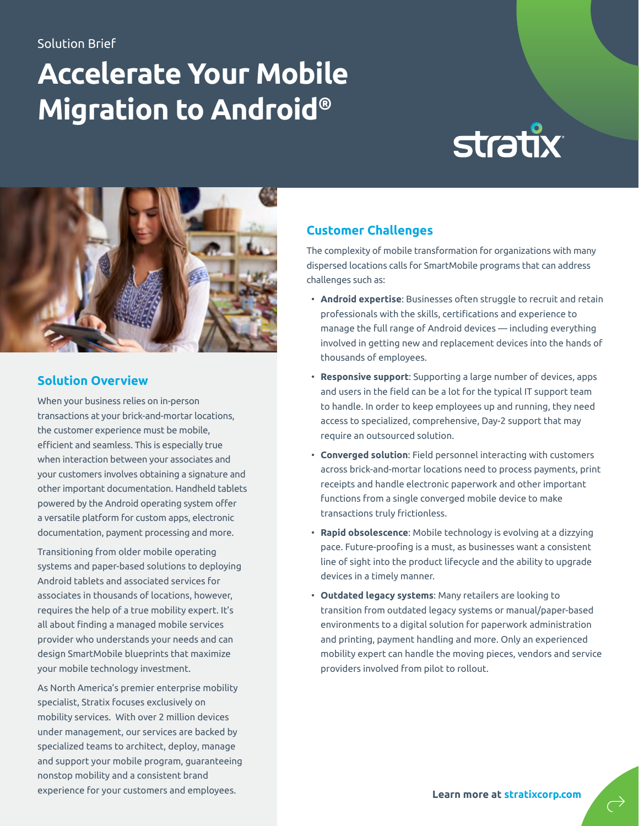#### Solution Brief

## **Accelerate Your Mobile Migration to Android®**

# **stratix**



#### **Solution Overview**

When your business relies on in-person transactions at your brick-and-mortar locations, the customer experience must be mobile, efficient and seamless. This is especially true when interaction between your associates and your customers involves obtaining a signature and other important documentation. Handheld tablets powered by the Android operating system offer a versatile platform for custom apps, electronic documentation, payment processing and more.

Transitioning from older mobile operating systems and paper-based solutions to deploying Android tablets and associated services for associates in thousands of locations, however, requires the help of a true mobility expert. It's all about finding a managed mobile services provider who understands your needs and can design SmartMobile blueprints that maximize your mobile technology investment.

As North America's premier enterprise mobility specialist, Stratix focuses exclusively on mobility services. With over 2 million devices under management, our services are backed by specialized teams to architect, deploy, manage and support your mobile program, guaranteeing nonstop mobility and a consistent brand experience for your customers and employees. **[Learn more at stratixcorp.com](https://www.stratixcorp.com)**

#### **Customer Challenges**

The complexity of mobile transformation for organizations with many dispersed locations calls for SmartMobile programs that can address challenges such as:

- **Android expertise**: Businesses often struggle to recruit and retain professionals with the skills, certifications and experience to manage the full range of Android devices — including everything involved in getting new and replacement devices into the hands of thousands of employees.
- **Responsive support**: Supporting a large number of devices, apps and users in the field can be a lot for the typical IT support team to handle. In order to keep employees up and running, they need access to specialized, comprehensive, Day-2 support that may require an outsourced solution.
- **Converged solution**: Field personnel interacting with customers across brick-and-mortar locations need to process payments, print receipts and handle electronic paperwork and other important functions from a single converged mobile device to make transactions truly frictionless.
- **Rapid obsolescence**: Mobile technology is evolving at a dizzying pace. Future-proofing is a must, as businesses want a consistent line of sight into the product lifecycle and the ability to upgrade devices in a timely manner.
- **Outdated legacy systems**: Many retailers are looking to transition from outdated legacy systems or manual/paper-based environments to a digital solution for paperwork administration and printing, payment handling and more. Only an experienced mobility expert can handle the moving pieces, vendors and service providers involved from pilot to rollout.